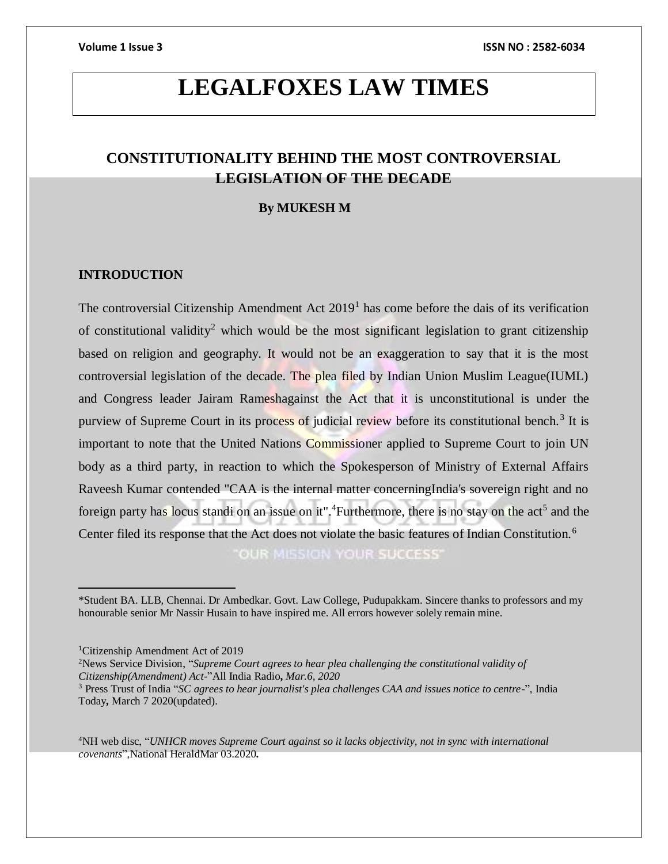# **LEGALFOXES LAW TIMES**

## **CONSTITUTIONALITY BEHIND THE MOST CONTROVERSIAL LEGISLATION OF THE DECADE**

### **By MUKESH M**

### **INTRODUCTION**

The controversial Citizenship Amendment Act  $2019<sup>1</sup>$  has come before the dais of its verification of constitutional validity<sup>2</sup> which would be the most significant legislation to grant citizenship based on religion and geography. It would not be an exaggeration to say that it is the most controversial legislation of the decade. The plea filed by Indian Union Muslim League(IUML) and Congress leader Jairam Rameshagainst the Act that it is unconstitutional is under the purview of Supreme Court in its process of judicial review before its constitutional bench.<sup>3</sup> It is important to note that the United Nations Commissioner applied to Supreme Court to join UN body as a third party, in reaction to which the Spokesperson of Ministry of External Affairs Raveesh Kumar contended "CAA is the internal matter concerningIndia's sovereign right and no foreign party has locus standi on an issue on it".<sup>4</sup>Furthermore, there is no stay on the act<sup>5</sup> and the Center filed its response that the Act does not violate the basic features of Indian Constitution.<sup>6</sup> OUR MISSION YOUR SUCCESS'

 $\overline{a}$ 

<sup>4</sup>NH web disc, "*UNHCR moves Supreme Court against so it lacks objectivity, not in sync with international covenants*",National HeraldMar 03.2020**.**

<sup>\*</sup>Student BA. LLB, Chennai. Dr Ambedkar. Govt. Law College, Pudupakkam. Sincere thanks to professors and my honourable senior Mr Nassir Husain to have inspired me. All errors however solely remain mine.

<sup>1</sup>Citizenship Amendment Act of 2019

<sup>2</sup>News Service Division, "*Supreme Court agrees to hear plea challenging the constitutional validity of Citizenship(Amendment) Act-*"All India Radio**,** *Mar.6, 2020*

<sup>3</sup> Press Trust of India "*SC agrees to hear journalist's plea challenges CAA and issues notice to centre-*", India Today**,** March 7 2020(updated).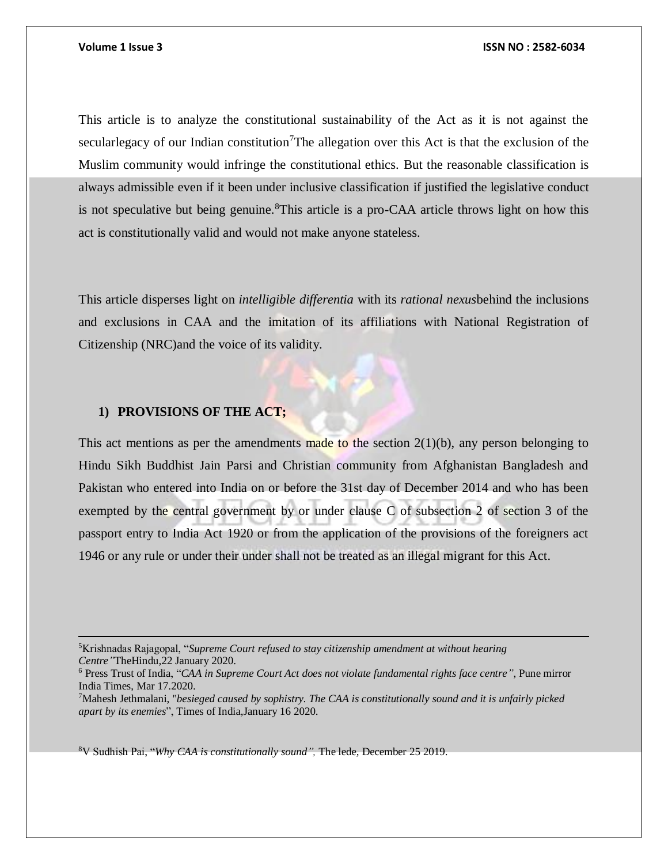This article is to analyze the constitutional sustainability of the Act as it is not against the secularlegacy of our Indian constitution<sup>7</sup>The allegation over this Act is that the exclusion of the Muslim community would infringe the constitutional ethics. But the reasonable classification is always admissible even if it been under inclusive classification if justified the legislative conduct is not speculative but being genuine.<sup>8</sup>This article is a pro-CAA article throws light on how this act is constitutionally valid and would not make anyone stateless.

This article disperses light on *intelligible differentia* with its *rational nexus*behind the inclusions and exclusions in CAA and the imitation of its affiliations with National Registration of Citizenship (NRC)and the voice of its validity.

### **1) PROVISIONS OF THE ACT;**

 $\overline{a}$ 

This act mentions as per the amendments made to the section  $2(1)(b)$ , any person belonging to Hindu Sikh Buddhist Jain Parsi and Christian community from Afghanistan Bangladesh and Pakistan who entered into India on or before the 31st day of December 2014 and who has been exempted by the central government by or under clause C of subsection 2 of section 3 of the passport entry to India Act 1920 or from the application of the provisions of the foreigners act 1946 or any rule or under their under shall not be treated as an illegal migrant for this Act.

8V Sudhish Pai, "*Why CAA is constitutionally sound",* The lede*,* December 25 2019.

<sup>5</sup>Krishnadas Rajagopal, "*Supreme Court refused to stay citizenship amendment at without hearing Centre"*TheHindu*,*22 January 2020.

<sup>6</sup> Press Trust of India, "*CAA in Supreme Court Act does not violate fundamental rights face centre"*, Pune mirror India Times, Mar 17.2020.

<sup>7</sup>Mahesh Jethmalani, "*besieged caused by sophistry. The CAA is constitutionally sound and it is unfairly picked apart by its enemies*", Times of India,January 16 2020.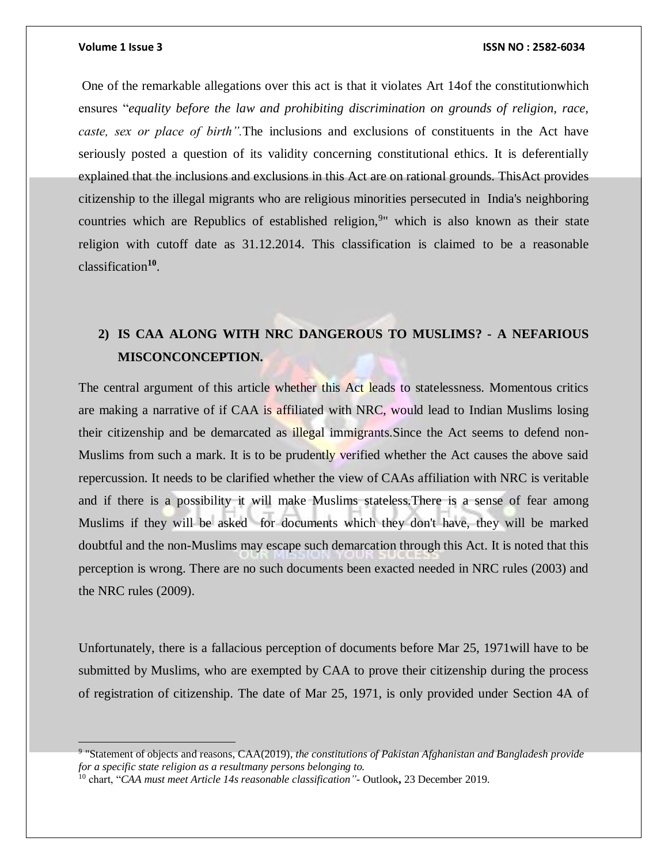### **Volume 1 Issue 3 ISSN NO : 2582-6034**

One of the remarkable allegations over this act is that it violates Art 14of the constitutionwhich ensures "*equality before the law and prohibiting discrimination on grounds of religion, race, caste, sex or place of birth".*The inclusions and exclusions of constituents in the Act have seriously posted a question of its validity concerning constitutional ethics. It is deferentially explained that the inclusions and exclusions in this Act are on rational grounds. ThisAct provides citizenship to the illegal migrants who are religious minorities persecuted in India's neighboring countries which are Republics of established religion,<sup>9</sup>" which is also known as their state religion with cutoff date as 31.12.2014. This classification is claimed to be a reasonable classification**<sup>10</sup>** .

# **2) IS CAA ALONG WITH NRC DANGEROUS TO MUSLIMS? - A NEFARIOUS MISCONCONCEPTION.**

The central argument of this article whether this Act leads to statelessness. Momentous critics are making a narrative of if CAA is affiliated with NRC, would lead to Indian Muslims losing their citizenship and be demarcated as illegal immigrants.Since the Act seems to defend non-Muslims from such a mark. It is to be prudently verified whether the Act causes the above said repercussion. It needs to be clarified whether the view of CAAs affiliation with NRC is veritable and if there is a possibility it will make Muslims stateless.There is a sense of fear among Muslims if they will be asked for documents which they don't have, they will be marked doubtful and the non-Muslims may escape such demarcation through this Act. It is noted that this perception is wrong. There are no such documents been exacted needed in NRC rules (2003) and the NRC rules (2009).

Unfortunately, there is a fallacious perception of documents before Mar 25, 1971will have to be submitted by Muslims, who are exempted by CAA to prove their citizenship during the process of registration of citizenship. The date of Mar 25, 1971, is only provided under Section 4A of

<sup>9</sup> "Statement of objects and reasons, CAA(2019), *the constitutions of Pakistan Afghanistan and Bangladesh provide for a specific state religion as a resultmany persons belonging to.*

<sup>10</sup> chart, "*CAA must meet Article 14s reasonable classification"-* Outlook**,** 23 December 2019.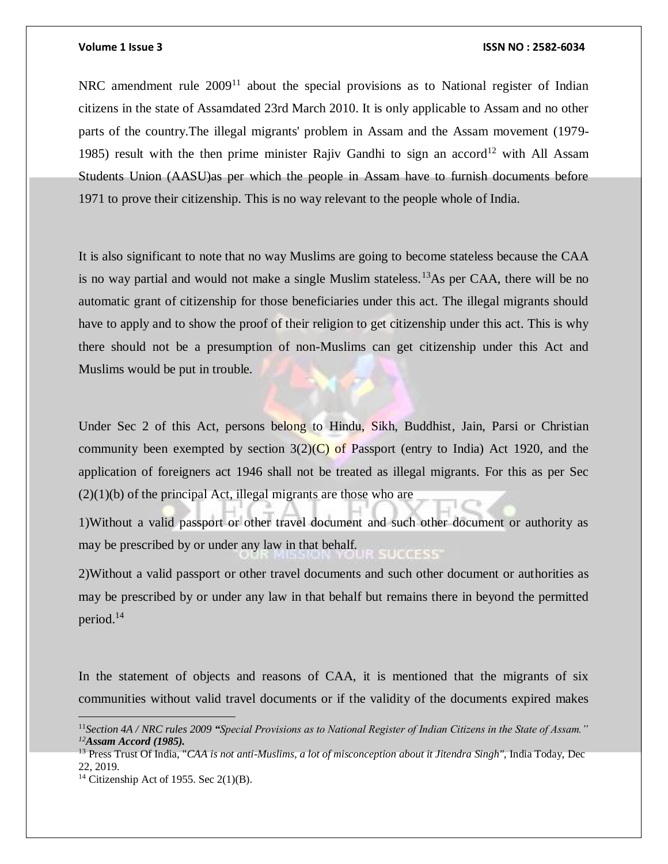### **Volume 1 Issue 3 ISSN NO : 2582-6034**

NRC amendment rule  $2009<sup>11</sup>$  about the special provisions as to National register of Indian citizens in the state of Assamdated 23rd March 2010. It is only applicable to Assam and no other parts of the country.The illegal migrants' problem in Assam and the Assam movement (1979- 1985) result with the then prime minister Rajiv Gandhi to sign an accord<sup>12</sup> with All Assam Students Union (AASU)as per which the people in Assam have to furnish documents before 1971 to prove their citizenship. This is no way relevant to the people whole of India.

It is also significant to note that no way Muslims are going to become stateless because the CAA is no way partial and would not make a single Muslim stateless.<sup>13</sup>As per CAA, there will be no automatic grant of citizenship for those beneficiaries under this act. The illegal migrants should have to apply and to show the proof of their religion to get citizenship under this act. This is why there should not be a presumption of non-Muslims can get citizenship under this Act and Muslims would be put in trouble.

Under Sec 2 of this Act, persons belong to Hindu, Sikh, Buddhist, Jain, Parsi or Christian community been exempted by section  $3(2)(C)$  of Passport (entry to India) Act 1920, and the application of foreigners act 1946 shall not be treated as illegal migrants. For this as per Sec  $(2)(1)(b)$  of the principal Act, illegal migrants are those who are

1)Without a valid passport or other travel document and such other document or authority as may be prescribed by or under any law in that behalf. **SUCCESS** 

2)Without a valid passport or other travel documents and such other document or authorities as may be prescribed by or under any law in that behalf but remains there in beyond the permitted period.<sup>14</sup>

In the statement of objects and reasons of CAA, it is mentioned that the migrants of six communities without valid travel documents or if the validity of the documents expired makes

 $\overline{a}$ 

<sup>11</sup>*Section 4A / NRC rules 2009 "Special Provisions as to National Register of Indian Citizens in the State of Assam." <sup>12</sup>Assam Accord (1985).* 

<sup>&</sup>lt;sup>13</sup> Press Trust Of India, "*CAA is not anti-Muslims, a lot of misconception about it Jitendra Singh", India Today, Dec* 22, 2019.

<sup>&</sup>lt;sup>14</sup> Citizenship Act of 1955. Sec  $2(1)(B)$ .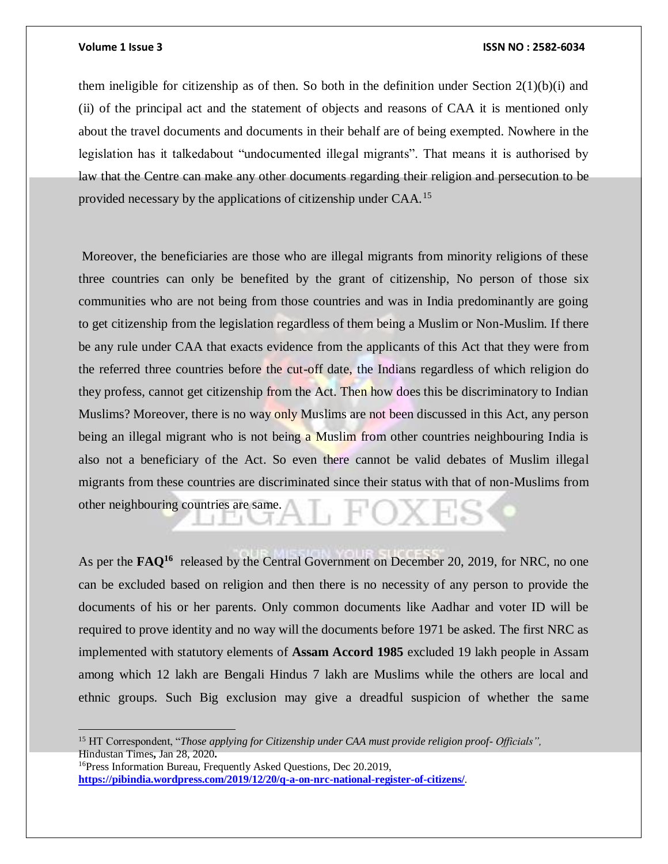### **Volume 1 Issue 3 ISSN NO : 2582-6034**

them ineligible for citizenship as of then. So both in the definition under Section  $2(1)(b)(i)$  and (ii) of the principal act and the statement of objects and reasons of CAA it is mentioned only about the travel documents and documents in their behalf are of being exempted. Nowhere in the legislation has it talkedabout "undocumented illegal migrants". That means it is authorised by law that the Centre can make any other documents regarding their religion and persecution to be provided necessary by the applications of citizenship under CAA.<sup>15</sup>

Moreover, the beneficiaries are those who are illegal migrants from minority religions of these three countries can only be benefited by the grant of citizenship, No person of those six communities who are not being from those countries and was in India predominantly are going to get citizenship from the legislation regardless of them being a Muslim or Non-Muslim. If there be any rule under CAA that exacts evidence from the applicants of this Act that they were from the referred three countries before the cut-off date, the Indians regardless of which religion do they profess, cannot get citizenship from the Act. Then how does this be discriminatory to Indian Muslims? Moreover, there is no way only Muslims are not been discussed in this Act, any person being an illegal migrant who is not being a Muslim from other countries neighbouring India is also not a beneficiary of the Act. So even there cannot be valid debates of Muslim illegal migrants from these countries are discriminated since their status with that of non-Muslims from other neighbouring countries are same.

As per the **FAQ<sup>16</sup>** released by the Central Government on December 20, 2019, for NRC, no one can be excluded based on religion and then there is no necessity of any person to provide the documents of his or her parents. Only common documents like Aadhar and voter ID will be required to prove identity and no way will the documents before 1971 be asked. The first NRC as implemented with statutory elements of **Assam Accord 1985** excluded 19 lakh people in Assam among which 12 lakh are Bengali Hindus 7 lakh are Muslims while the others are local and ethnic groups. Such Big exclusion may give a dreadful suspicion of whether the same

<sup>15</sup> HT Correspondent, "*Those applying for Citizenship under CAA must provide religion proof- Officials",*  Hindustan Times**,** Jan 28, 2020**.**

<sup>16</sup>Press Information Bureau, Frequently Asked Questions, Dec 20.2019, **<https://pibindia.wordpress.com/2019/12/20/q-a-on-nrc-national-register-of-citizens/>**.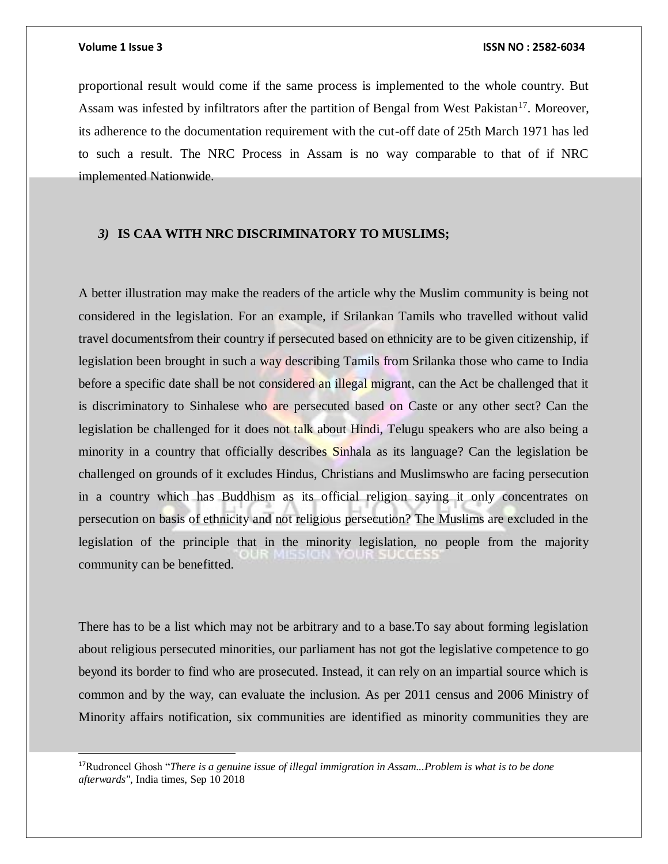l

proportional result would come if the same process is implemented to the whole country. But Assam was infested by infiltrators after the partition of Bengal from West Pakistan<sup>17</sup>. Moreover, its adherence to the documentation requirement with the cut-off date of 25th March 1971 has led to such a result. The NRC Process in Assam is no way comparable to that of if NRC implemented Nationwide.

### *3)* **IS CAA WITH NRC DISCRIMINATORY TO MUSLIMS;**

A better illustration may make the readers of the article why the Muslim community is being not considered in the legislation. For an example, if Srilankan Tamils who travelled without valid travel documentsfrom their country if persecuted based on ethnicity are to be given citizenship, if legislation been brought in such a way describing Tamils from Srilanka those who came to India before a specific date shall be not considered an illegal migrant, can the Act be challenged that it is discriminatory to Sinhalese who are persecuted based on Caste or any other sect? Can the legislation be challenged for it does not talk about Hindi, Telugu speakers who are also being a minority in a country that officially describes Sinhala as its language? Can the legislation be challenged on grounds of it excludes Hindus, Christians and Muslimswho are facing persecution in a country which has Buddhism as its official religion saying it only concentrates on persecution on basis of ethnicity and not religious persecution? The Muslims are excluded in the legislation of the principle that in the minority legislation, no people from the majority community can be benefitted.

There has to be a list which may not be arbitrary and to a base.To say about forming legislation about religious persecuted minorities, our parliament has not got the legislative competence to go beyond its border to find who are prosecuted. Instead, it can rely on an impartial source which is common and by the way, can evaluate the inclusion. As per 2011 census and 2006 Ministry of Minority affairs notification, six communities are identified as minority communities they are

<sup>17</sup>Rudroneel Ghosh "*There is a genuine issue of illegal immigration in Assam...Problem is what is to be done afterwards"*, India times, Sep 10 2018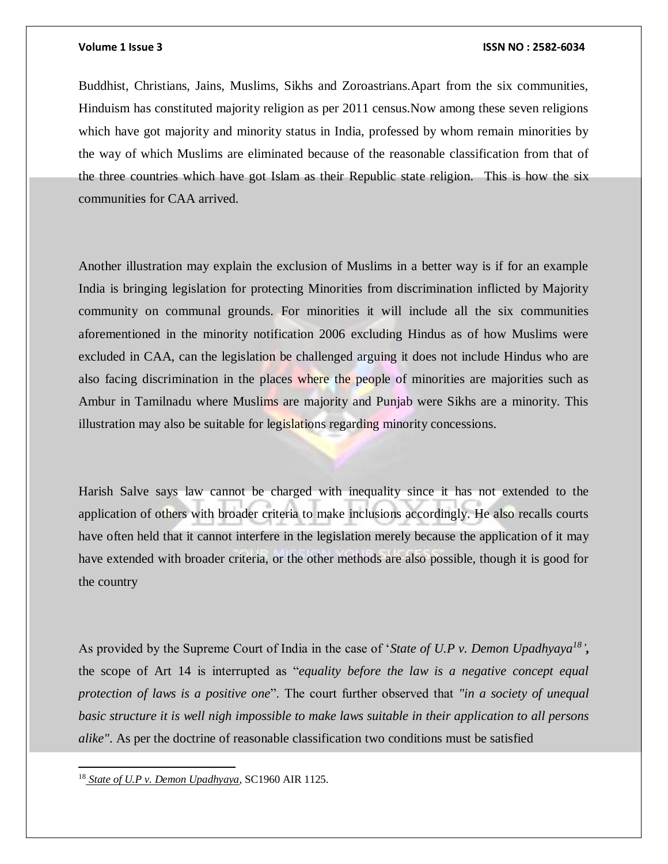### **Volume 1 Issue 3 ISSN NO : 2582-6034**

Buddhist, Christians, Jains, Muslims, Sikhs and Zoroastrians.Apart from the six communities, Hinduism has constituted majority religion as per 2011 census.Now among these seven religions which have got majority and minority status in India, professed by whom remain minorities by the way of which Muslims are eliminated because of the reasonable classification from that of the three countries which have got Islam as their Republic state religion. This is how the six communities for CAA arrived.

Another illustration may explain the exclusion of Muslims in a better way is if for an example India is bringing legislation for protecting Minorities from discrimination inflicted by Majority community on communal grounds. For minorities it will include all the six communities aforementioned in the minority notification 2006 excluding Hindus as of how Muslims were excluded in CAA, can the legislation be challenged arguing it does not include Hindus who are also facing discrimination in the places where the people of minorities are majorities such as Ambur in Tamilnadu where Muslims are majority and Punjab were Sikhs are a minority. This illustration may also be suitable for legislations regarding minority concessions.

Harish Salve says law cannot be charged with inequality since it has not extended to the application of others with broader criteria to make inclusions accordingly. He also recalls courts have often held that it cannot interfere in the legislation merely because the application of it may have extended with broader criteria, or the other methods are also possible, though it is good for the country

As provided by the Supreme Court of India in the case of '*State of U.P v. Demon Upadhyaya<sup>18</sup> ',*  the scope of Art 14 is interrupted as "*equality before the law is a negative concept equal protection of laws is a positive one*". The court further observed that *"in a society of unequal basic structure it is well nigh impossible to make laws suitable in their application to all persons alike"*. As per the doctrine of reasonable classification two conditions must be satisfied

 $\overline{a}$ 

<sup>18</sup> *State of U.P v. Demon Upadhyaya*, SC1960 AIR 1125.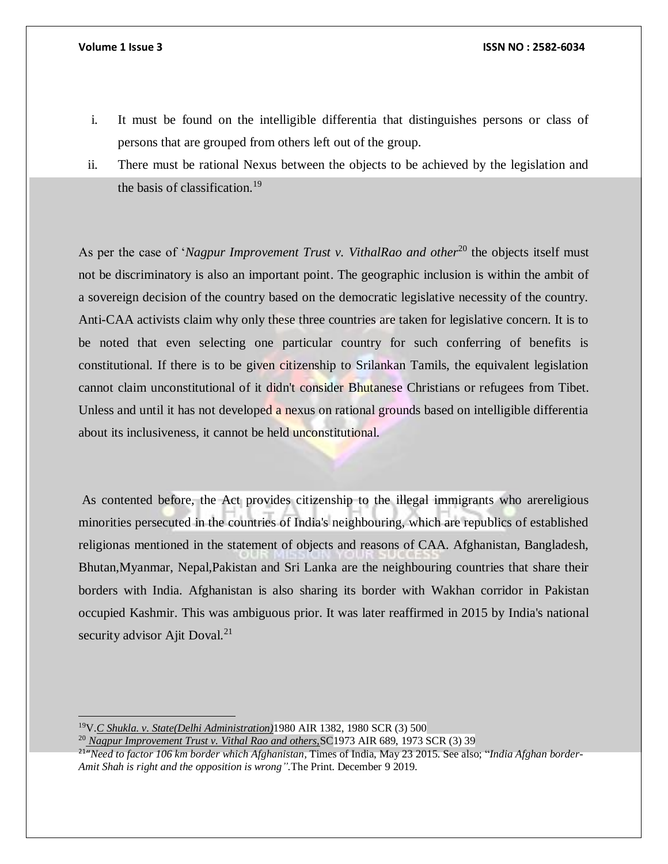- i. It must be found on the intelligible differentia that distinguishes persons or class of persons that are grouped from others left out of the group.
- ii. There must be rational Nexus between the objects to be achieved by the legislation and the basis of classification.<sup>19</sup>

As per the case of '*Nagpur Improvement Trust v. VithalRao and other*<sup>20</sup> the objects itself must not be discriminatory is also an important point. The geographic inclusion is within the ambit of a sovereign decision of the country based on the democratic legislative necessity of the country. Anti-CAA activists claim why only these three countries are taken for legislative concern. It is to be noted that even selecting one particular country for such conferring of benefits is constitutional. If there is to be given citizenship to Srilankan Tamils, the equivalent legislation cannot claim unconstitutional of it didn't consider Bhutanese Christians or refugees from Tibet. Unless and until it has not developed a nexus on rational grounds based on intelligible differentia about its inclusiveness, it cannot be held unconstitutional.

As contented before, the Act provides citizenship to the illegal immigrants who arereligious minorities persecuted in the countries of India's neighbouring, which are republics of established religionas mentioned in the statement of objects and reasons of CAA. Afghanistan, Bangladesh, Bhutan,Myanmar, Nepal,Pakistan and Sri Lanka are the neighbouring countries that share their borders with India. Afghanistan is also sharing its border with Wakhan corridor in Pakistan occupied Kashmir. This was ambiguous prior. It was later reaffirmed in 2015 by India's national security advisor Ajit Doval.<sup>21</sup>

<sup>19</sup>V.*C Shukla. v. State(Delhi Administration)*1980 AIR 1382, 1980 SCR (3) 500

<sup>20</sup> *Nagpur Improvement Trust v. Vithal Rao and others,*SC1973 AIR 689, 1973 SCR (3) 39

<sup>21</sup> "*Need to factor 106 km border which Afghanistan,* Times of India, May 23 2015. See also; "*India Afghan border-Amit Shah is right and the opposition is wrong".*The Print. December 9 2019.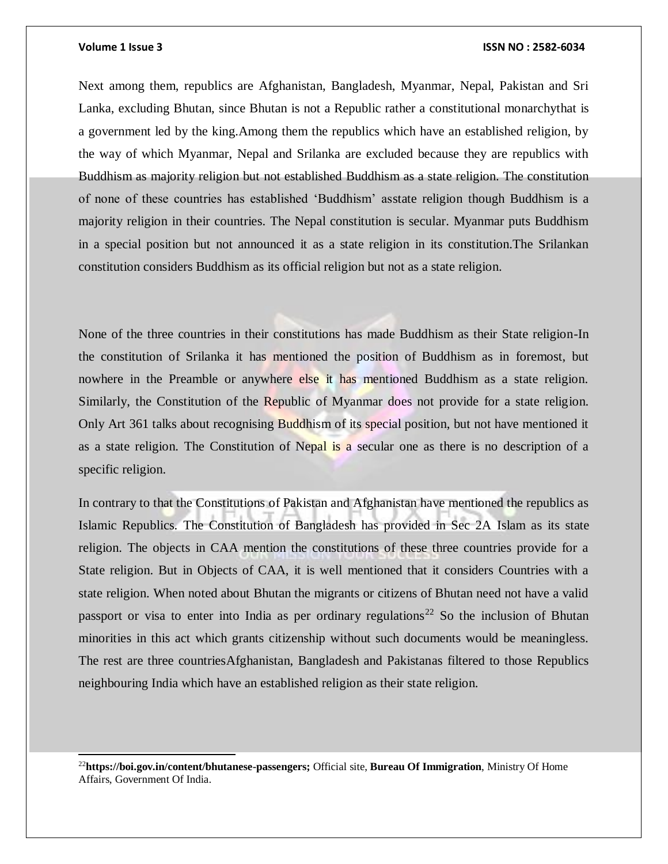l

#### **Volume 1 Issue 3 ISSN NO : 2582-6034**

Next among them, republics are Afghanistan, Bangladesh, Myanmar, Nepal, Pakistan and Sri Lanka, excluding Bhutan, since Bhutan is not a Republic rather a constitutional monarchythat is a government led by the king.Among them the republics which have an established religion, by the way of which Myanmar, Nepal and Srilanka are excluded because they are republics with Buddhism as majority religion but not established Buddhism as a state religion. The constitution of none of these countries has established 'Buddhism' asstate religion though Buddhism is a majority religion in their countries. The Nepal constitution is secular. Myanmar puts Buddhism in a special position but not announced it as a state religion in its constitution.The Srilankan constitution considers Buddhism as its official religion but not as a state religion.

None of the three countries in their constitutions has made Buddhism as their State religion-In the constitution of Srilanka it has mentioned the position of Buddhism as in foremost, but nowhere in the Preamble or anywhere else it has mentioned Buddhism as a state religion. Similarly, the Constitution of the Republic of Myanmar does not provide for a state religion. Only Art 361 talks about recognising Buddhism of its special position, but not have mentioned it as a state religion. The Constitution of Nepal is a secular one as there is no description of a specific religion.

In contrary to that the Constitutions of Pakistan and Afghanistan have mentioned the republics as Islamic Republics. The Constitution of Bangladesh has provided in Sec 2A Islam as its state religion. The objects in CAA mention the constitutions of these three countries provide for a State religion. But in Objects of CAA, it is well mentioned that it considers Countries with a state religion. When noted about Bhutan the migrants or citizens of Bhutan need not have a valid passport or visa to enter into India as per ordinary regulations<sup>22</sup> So the inclusion of Bhutan minorities in this act which grants citizenship without such documents would be meaningless. The rest are three countriesAfghanistan, Bangladesh and Pakistanas filtered to those Republics neighbouring India which have an established religion as their state religion.

<sup>22</sup>**https://boi.gov.in/content/bhutanese-passengers;** Official site, **Bureau Of Immigration**, Ministry Of Home Affairs, Government Of India.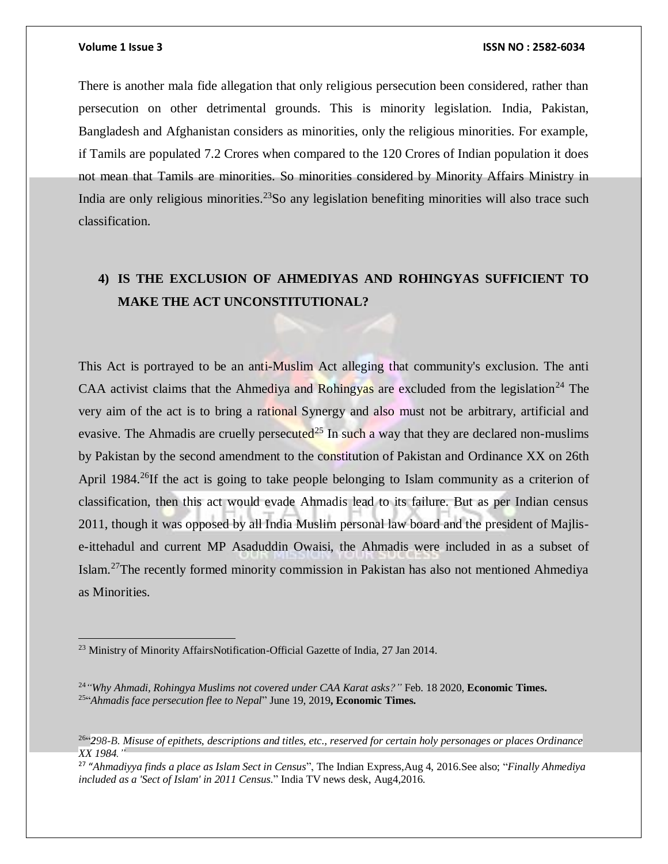### **Volume 1 Issue 3 ISSN NO : 2582-6034**

There is another mala fide allegation that only religious persecution been considered, rather than persecution on other detrimental grounds. This is minority legislation. India, Pakistan, Bangladesh and Afghanistan considers as minorities, only the religious minorities. For example, if Tamils are populated 7.2 Crores when compared to the 120 Crores of Indian population it does not mean that Tamils are minorities. So minorities considered by Minority Affairs Ministry in India are only religious minorities.<sup>23</sup>So any legislation benefiting minorities will also trace such classification.

# **4) IS THE EXCLUSION OF AHMEDIYAS AND ROHINGYAS SUFFICIENT TO MAKE THE ACT UNCONSTITUTIONAL?**

This Act is portrayed to be an anti-Muslim Act alleging that community's exclusion. The anti CAA activist claims that the Ahmediya and Rohingyas are excluded from the legislation<sup>24</sup> The very aim of the act is to bring a rational Synergy and also must not be arbitrary, artificial and evasive. The Ahmadis are cruelly persecuted<sup>25</sup> In such a way that they are declared non-muslims by Pakistan by the second amendment to the constitution of Pakistan and Ordinance XX on 26th April 1984.<sup>26</sup>If the act is going to take people belonging to Islam community as a criterion of classification, then this act would evade Ahmadis lead to its failure. But as per Indian census 2011, though it was opposed by all India Muslim personal law board and the president of Majlise-ittehadul and current MP Asaduddin Owaisi, the Ahmadis were included in as a subset of Islam.<sup>27</sup>The recently formed minority commission in Pakistan has also not mentioned Ahmediya as Minorities.

<sup>&</sup>lt;sup>23</sup> Ministry of Minority AffairsNotification-Official Gazette of India, 27 Jan 2014.

<sup>24</sup>*"Why Ahmadi, Rohingya Muslims not covered under CAA Karat asks?"* Feb. 18 2020, **Economic Times.** 25 "*Ahmadis face persecution flee to Nepal*" June 19, 2019**, Economic Times.**

 $^{264}$ 298-B. Misuse of epithets, descriptions and titles, etc., reserved for certain holy personages or places Ordinance *XX 1984."*

<sup>27</sup> "*Ahmadiyya finds a place as Islam Sect in Census*", The Indian Express,Aug 4, 2016.See also; "*Finally Ahmediya included as a 'Sect of Islam' in 2011 Census*." India TV news desk, Aug4,2016.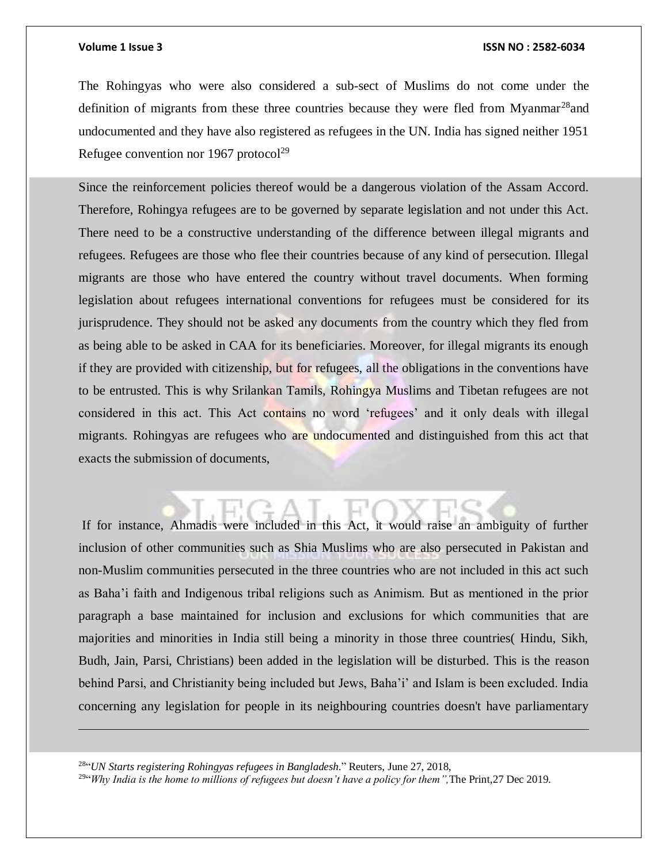### **Volume 1 Issue 3 ISSN NO : 2582-6034**

The Rohingyas who were also considered a sub-sect of Muslims do not come under the definition of migrants from these three countries because they were fled from Myanmar<sup>28</sup> and undocumented and they have also registered as refugees in the UN. India has signed neither 1951 Refugee convention nor 1967 protocol<sup>29</sup>

Since the reinforcement policies thereof would be a dangerous violation of the Assam Accord. Therefore, Rohingya refugees are to be governed by separate legislation and not under this Act. There need to be a constructive understanding of the difference between illegal migrants and refugees. Refugees are those who flee their countries because of any kind of persecution. Illegal migrants are those who have entered the country without travel documents. When forming legislation about refugees international conventions for refugees must be considered for its jurisprudence. They should not be asked any documents from the country which they fled from as being able to be asked in CAA for its beneficiaries. Moreover, for illegal migrants its enough if they are provided with citizenship, but for refugees, all the obligations in the conventions have to be entrusted. This is why Srilankan Tamils, Rohingya Muslims and Tibetan refugees are not considered in this act. This Act contains no word 'refugees' and it only deals with illegal migrants. Rohingyas are refugees who are undocumented and distinguished from this act that exacts the submission of documents,

If for instance, Ahmadis were included in this Act, it would raise an ambiguity of further

inclusion of other communities such as Shia Muslims who are also persecuted in Pakistan and non-Muslim communities persecuted in the three countries who are not included in this act such as Baha'i faith and Indigenous tribal religions such as Animism. But as mentioned in the prior paragraph a base maintained for inclusion and exclusions for which communities that are majorities and minorities in India still being a minority in those three countries( Hindu, Sikh, Budh, Jain, Parsi, Christians) been added in the legislation will be disturbed. This is the reason behind Parsi, and Christianity being included but Jews, Baha'i' and Islam is been excluded. India concerning any legislation for people in its neighbouring countries doesn't have parliamentary

28 "*UN Starts registering Rohingyas refugees in Bangladesh*." Reuters, June 27, 2018,

29 "*Why India is the home to millions of refugees but doesn't have a policy for them",*The Print,27 Dec 2019.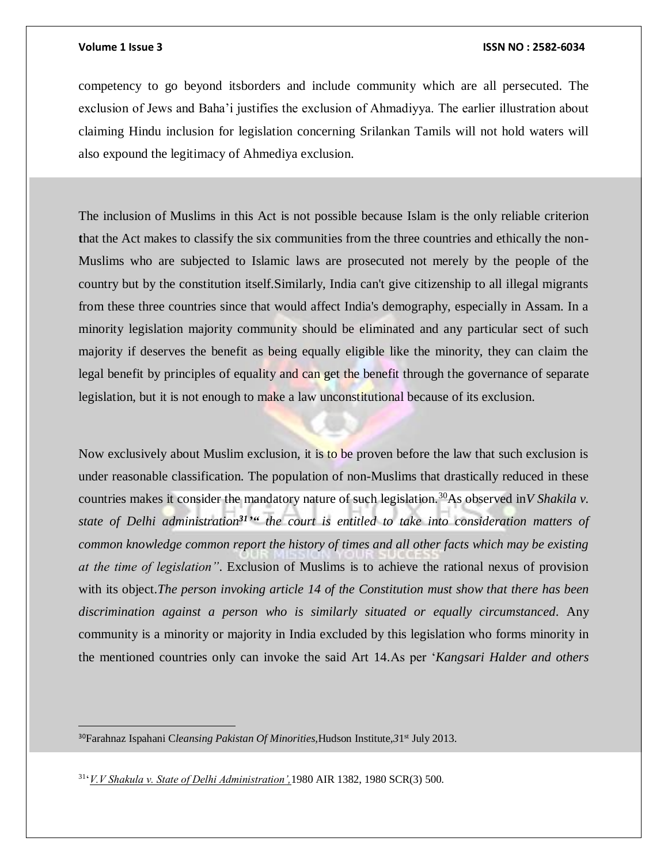### **Volume 1 Issue 3 ISSN NO : 2582-6034**

competency to go beyond itsborders and include community which are all persecuted. The exclusion of Jews and Baha'i justifies the exclusion of Ahmadiyya. The earlier illustration about claiming Hindu inclusion for legislation concerning Srilankan Tamils will not hold waters will also expound the legitimacy of Ahmediya exclusion.

The inclusion of Muslims in this Act is not possible because Islam is the only reliable criterion **t**hat the Act makes to classify the six communities from the three countries and ethically the non-Muslims who are subjected to Islamic laws are prosecuted not merely by the people of the country but by the constitution itself.Similarly, India can't give citizenship to all illegal migrants from these three countries since that would affect India's demography, especially in Assam. In a minority legislation majority community should be eliminated and any particular sect of such majority if deserves the benefit as being equally eligible like the minority, they can claim the legal benefit by principles of equality and can get the benefit through the governance of separate legislation, but it is not enough to make a law unconstitutional because of its exclusion.

Now exclusively about Muslim exclusion, it is to be proven before the law that such exclusion is under reasonable classification. The population of non-Muslims that drastically reduced in these countries makes it consider the mandatory nature of such legislation.<sup>30</sup>As observed in*V Shakila v.*  state of Delhi administration<sup>31</sup><sup>34</sup> the court is entitled to take into consideration matters of *common knowledge common report the history of times and all other facts which may be existing at the time of legislation"*. Exclusion of Muslims is to achieve the rational nexus of provision with its object.*The person invoking article 14 of the Constitution must show that there has been discrimination against a person who is similarly situated or equally circumstanced*. Any community is a minority or majority in India excluded by this legislation who forms minority in the mentioned countries only can invoke the said Art 14.As per '*Kangsari Halder and others* 

<sup>30</sup>Farahnaz Ispahani Cleansing Pakistan Of Minorities, Hudson Institute, 31<sup>st</sup> July 2013.

31 '*V.V Shakula v. State of Delhi Administration',*1980 AIR 1382, 1980 SCR(3) 500.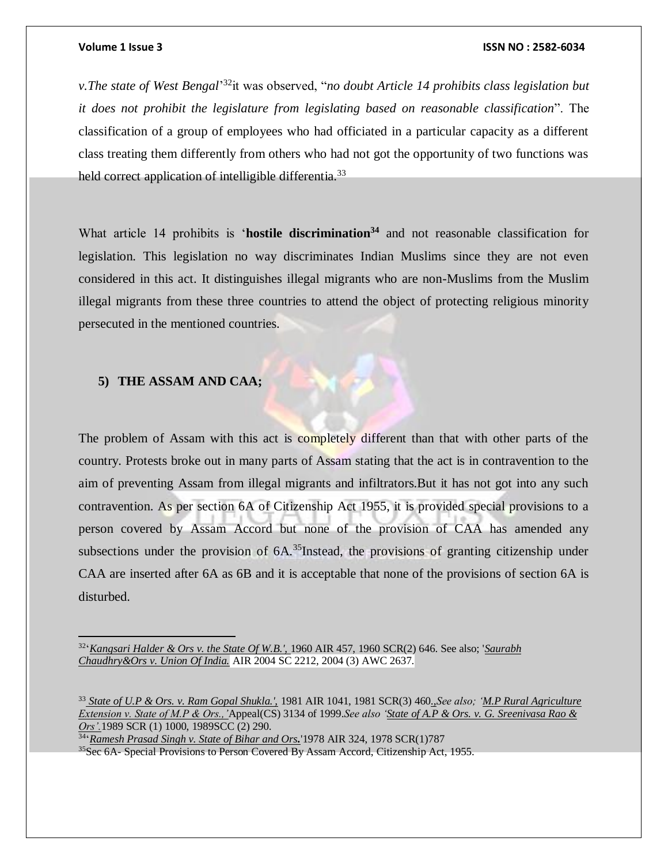### **Volume 1 Issue 3 ISSN NO : 2582-6034**

*v.The state of West Bengal*' <sup>32</sup>it was observed, "*no doubt Article 14 prohibits class legislation but it does not prohibit the legislature from legislating based on reasonable classification*". The classification of a group of employees who had officiated in a particular capacity as a different class treating them differently from others who had not got the opportunity of two functions was held correct application of intelligible differentia.<sup>33</sup>

What article 14 prohibits is '**hostile discrimination<sup>34</sup>** and not reasonable classification for legislation. This legislation no way discriminates Indian Muslims since they are not even considered in this act. It distinguishes illegal migrants who are non-Muslims from the Muslim illegal migrants from these three countries to attend the object of protecting religious minority persecuted in the mentioned countries.

### **5) THE ASSAM AND CAA;**

 $\overline{a}$ 

The problem of Assam with this act is completely different than that with other parts of the country. Protests broke out in many parts of Assam stating that the act is in contravention to the aim of preventing Assam from illegal migrants and infiltrators.But it has not got into any such contravention. As per section 6A of Citizenship Act 1955, it is provided special provisions to a person covered by Assam Accord but none of the provision of CAA has amended any subsections under the provision of 6A.<sup>35</sup>Instead, the provisions of granting citizenship under CAA are inserted after 6A as 6B and it is acceptable that none of the provisions of section 6A is disturbed.

34 '*Ramesh Prasad Singh v. State of Bihar and Ors.*'1978 AIR 324, 1978 SCR(1)787 <sup>35</sup>Sec 6A- Special Provisions to Person Covered By Assam Accord, Citizenship Act, 1955.

<sup>32</sup> '*Kangsari Halder & Ors v. the State Of W.B.',* 1960 AIR 457, 1960 SCR(2) 646. See also; '*Saurabh Chaudhry&Ors v. Union Of India.* AIR 2004 SC 2212, 2004 (3) AWC 2637.

<sup>33</sup> *State of U.P & Ors. v. Ram Gopal Shukla.',* 1981 AIR 1041, 1981 SCR(3) 460*.,See also; 'M.P Rural Agriculture Extension v. State of M.P & Ors.,'*Appeal(CS) 3134 of 1999.*See also 'State of A.P & Ors. v. G. Sreenivasa Rao & Ors'.*1989 SCR (1) 1000, 1989SCC (2) 290.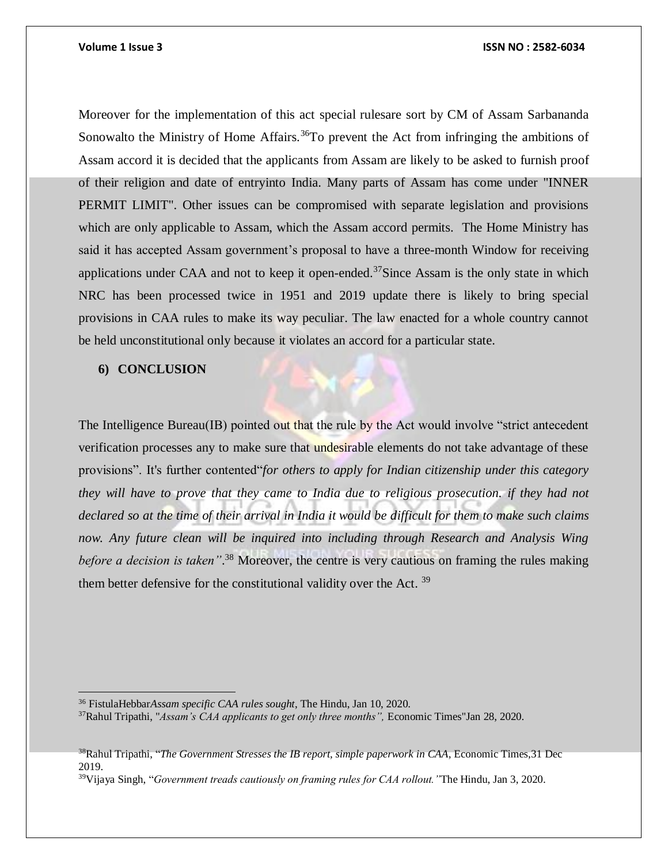Moreover for the implementation of this act special rulesare sort by CM of Assam Sarbananda Sonowalto the Ministry of Home Affairs.<sup>36</sup>To prevent the Act from infringing the ambitions of Assam accord it is decided that the applicants from Assam are likely to be asked to furnish proof of their religion and date of entryinto India. Many parts of Assam has come under "INNER PERMIT LIMIT". Other issues can be compromised with separate legislation and provisions which are only applicable to Assam, which the Assam accord permits. The Home Ministry has said it has accepted Assam government's proposal to have a three-month Window for receiving applications under CAA and not to keep it open-ended.<sup>37</sup>Since Assam is the only state in which NRC has been processed twice in 1951 and 2019 update there is likely to bring special provisions in CAA rules to make its way peculiar. The law enacted for a whole country cannot be held unconstitutional only because it violates an accord for a particular state.

### **6) CONCLUSION**

The Intelligence Bureau(IB) pointed out that the rule by the Act would involve "strict antecedent" verification processes any to make sure that undesirable elements do not take advantage of these provisions". It's further contented"*for others to apply for Indian citizenship under this category they will have to prove that they came to India due to religious prosecution. if they had not declared so at the time of their arrival in India it would be difficult for them to make such claims now. Any future clean will be inquired into including through Research and Analysis Wing before a decision is taken"*. <sup>38</sup> Moreover, the centre is very cautious on framing the rules making them better defensive for the constitutional validity over the Act.  $39$ 

 $\overline{a}$ <sup>36</sup> FistulaHebbar*Assam specific CAA rules sought*, The Hindu, Jan 10, 2020.

<sup>37</sup>Rahul Tripathi, "*Assam's CAA applicants to get only three months",* Economic Times"Jan 28, 2020.

<sup>&</sup>lt;sup>38</sup>Rahul Tripathi, "*The Government Stresses the IB report, simple paperwork in CAA, Economic Times, 31 Dec* 2019.

<sup>39</sup>Vijaya Singh, "*Government treads cautiously on framing rules for CAA rollout."*The Hindu, Jan 3, 2020.